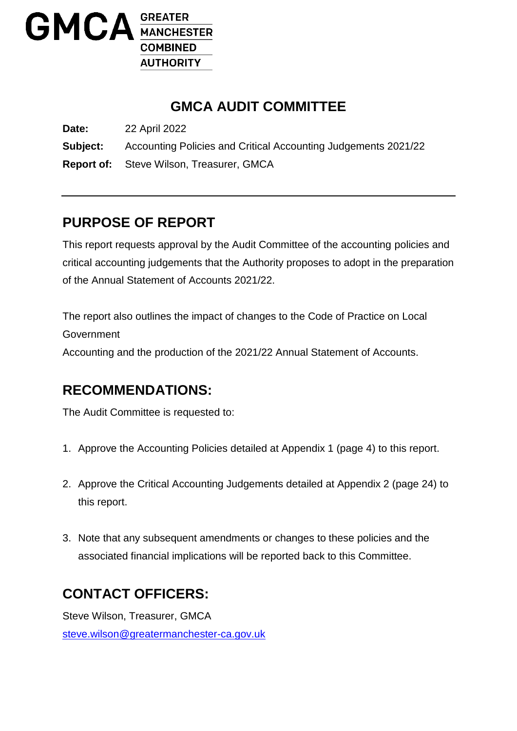

# **GMCA AUDIT COMMITTEE**

**Date:** 22 April 2022 **Subject:** Accounting Policies and Critical Accounting Judgements 2021/22 **Report of:** Steve Wilson, Treasurer, GMCA

# **PURPOSE OF REPORT**

This report requests approval by the Audit Committee of the accounting policies and critical accounting judgements that the Authority proposes to adopt in the preparation of the Annual Statement of Accounts 2021/22.

The report also outlines the impact of changes to the Code of Practice on Local Government Accounting and the production of the 2021/22 Annual Statement of Accounts.

# **RECOMMENDATIONS:**

The Audit Committee is requested to:

- 1. Approve the Accounting Policies detailed at Appendix 1 (page 4) to this report.
- 2. Approve the Critical Accounting Judgements detailed at Appendix 2 (page 24) to this report.
- 3. Note that any subsequent amendments or changes to these policies and the associated financial implications will be reported back to this Committee.

# **CONTACT OFFICERS:**

Steve Wilson, Treasurer, GMCA [steve.wilson@greatermanchester-ca.gov.uk](mailto:steve.wilson@greatermanchester-ca.gov.uk)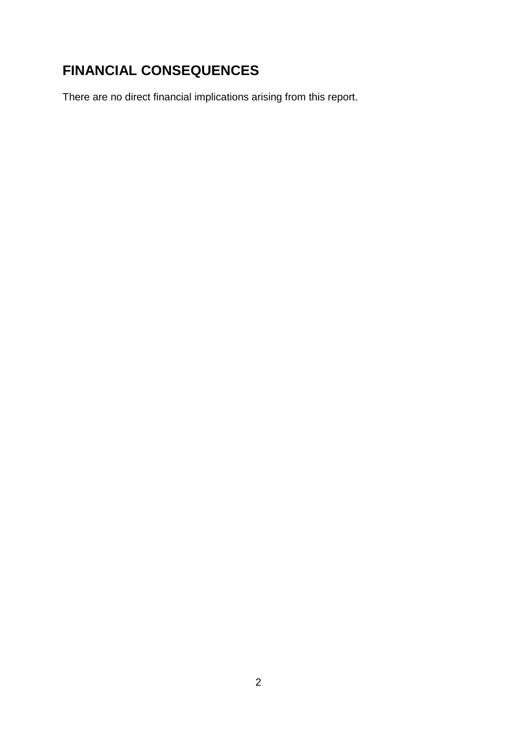# **FINANCIAL CONSEQUENCES**

There are no direct financial implications arising from this report.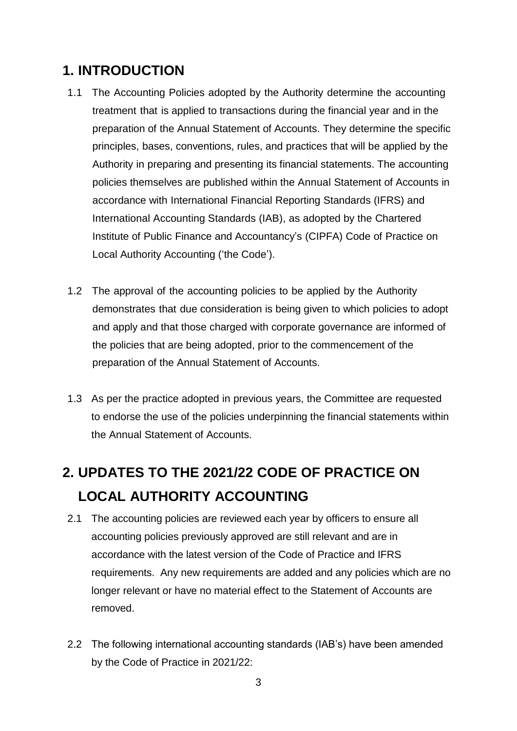# **1. INTRODUCTION**

- 1.1 The Accounting Policies adopted by the Authority determine the accounting treatment that is applied to transactions during the financial year and in the preparation of the Annual Statement of Accounts. They determine the specific principles, bases, conventions, rules, and practices that will be applied by the Authority in preparing and presenting its financial statements. The accounting policies themselves are published within the Annual Statement of Accounts in accordance with International Financial Reporting Standards (IFRS) and International Accounting Standards (IAB), as adopted by the Chartered Institute of Public Finance and Accountancy's (CIPFA) Code of Practice on Local Authority Accounting ('the Code').
- 1.2 The approval of the accounting policies to be applied by the Authority demonstrates that due consideration is being given to which policies to adopt and apply and that those charged with corporate governance are informed of the policies that are being adopted, prior to the commencement of the preparation of the Annual Statement of Accounts.
- 1.3 As per the practice adopted in previous years, the Committee are requested to endorse the use of the policies underpinning the financial statements within the Annual Statement of Accounts.

# **2. UPDATES TO THE 2021/22 CODE OF PRACTICE ON LOCAL AUTHORITY ACCOUNTING**

- 2.1 The accounting policies are reviewed each year by officers to ensure all accounting policies previously approved are still relevant and are in accordance with the latest version of the Code of Practice and IFRS requirements. Any new requirements are added and any policies which are no longer relevant or have no material effect to the Statement of Accounts are removed.
- 2.2 The following international accounting standards (IAB's) have been amended by the Code of Practice in 2021/22: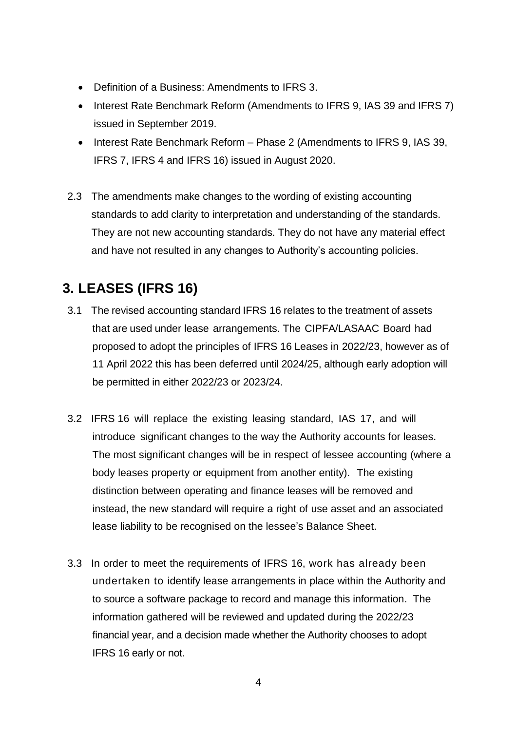- Definition of a Business: Amendments to IFRS 3.
- Interest Rate Benchmark Reform (Amendments to IFRS 9, IAS 39 and IFRS 7) issued in September 2019.
- Interest Rate Benchmark Reform Phase 2 (Amendments to IFRS 9, IAS 39, IFRS 7, IFRS 4 and IFRS 16) issued in August 2020.
- 2.3 The amendments make changes to the wording of existing accounting standards to add clarity to interpretation and understanding of the standards. They are not new accounting standards. They do not have any material effect and have not resulted in any changes to Authority's accounting policies.

# **3. LEASES (IFRS 16)**

- 3.1 The revised accounting standard IFRS 16 relates to the treatment of assets that are used under lease arrangements. The CIPFA/LASAAC Board had proposed to adopt the principles of IFRS 16 Leases in 2022/23, however as of 11 April 2022 this has been deferred until 2024/25, although early adoption will be permitted in either 2022/23 or 2023/24.
- 3.2 IFRS 16 will replace the existing leasing standard, IAS 17, and will introduce significant changes to the way the Authority accounts for leases. The most significant changes will be in respect of lessee accounting (where a body leases property or equipment from another entity). The existing distinction between operating and finance leases will be removed and instead, the new standard will require a right of use asset and an associated lease liability to be recognised on the lessee's Balance Sheet.
- 3.3 In order to meet the requirements of IFRS 16, work has already been undertaken to identify lease arrangements in place within the Authority and to source a software package to record and manage this information. The information gathered will be reviewed and updated during the 2022/23 financial year, and a decision made whether the Authority chooses to adopt IFRS 16 early or not.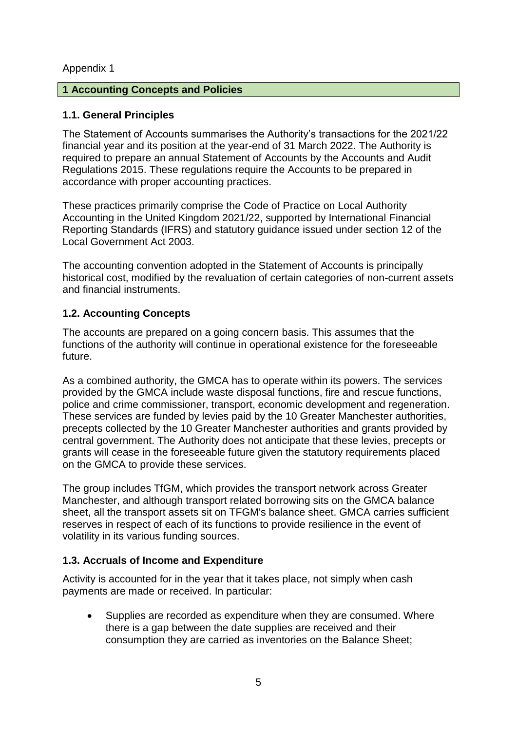#### Appendix 1

#### **1 Accounting Concepts and Policies**

#### **1.1. General Principles**

The Statement of Accounts summarises the Authority's transactions for the 2021/22 financial year and its position at the year-end of 31 March 2022. The Authority is required to prepare an annual Statement of Accounts by the Accounts and Audit Regulations 2015. These regulations require the Accounts to be prepared in accordance with proper accounting practices.

These practices primarily comprise the Code of Practice on Local Authority Accounting in the United Kingdom 2021/22, supported by International Financial Reporting Standards (IFRS) and statutory guidance issued under section 12 of the Local Government Act 2003.

The accounting convention adopted in the Statement of Accounts is principally historical cost, modified by the revaluation of certain categories of non-current assets and financial instruments.

#### **1.2. Accounting Concepts**

The accounts are prepared on a going concern basis. This assumes that the functions of the authority will continue in operational existence for the foreseeable future.

As a combined authority, the GMCA has to operate within its powers. The services provided by the GMCA include waste disposal functions, fire and rescue functions, police and crime commissioner, transport, economic development and regeneration. These services are funded by levies paid by the 10 Greater Manchester authorities, precepts collected by the 10 Greater Manchester authorities and grants provided by central government. The Authority does not anticipate that these levies, precepts or grants will cease in the foreseeable future given the statutory requirements placed on the GMCA to provide these services.

The group includes TfGM, which provides the transport network across Greater Manchester, and although transport related borrowing sits on the GMCA balance sheet, all the transport assets sit on TFGM's balance sheet. GMCA carries sufficient reserves in respect of each of its functions to provide resilience in the event of volatility in its various funding sources.

# **1.3. Accruals of Income and Expenditure**

Activity is accounted for in the year that it takes place, not simply when cash payments are made or received. In particular:

 Supplies are recorded as expenditure when they are consumed. Where there is a gap between the date supplies are received and their consumption they are carried as inventories on the Balance Sheet;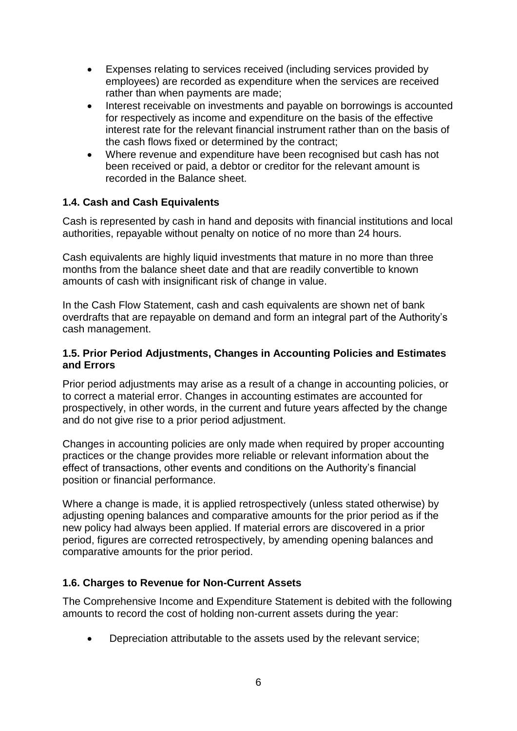- Expenses relating to services received (including services provided by employees) are recorded as expenditure when the services are received rather than when payments are made;
- Interest receivable on investments and payable on borrowings is accounted for respectively as income and expenditure on the basis of the effective interest rate for the relevant financial instrument rather than on the basis of the cash flows fixed or determined by the contract;
- Where revenue and expenditure have been recognised but cash has not been received or paid, a debtor or creditor for the relevant amount is recorded in the Balance sheet.

#### **1.4. Cash and Cash Equivalents**

Cash is represented by cash in hand and deposits with financial institutions and local authorities, repayable without penalty on notice of no more than 24 hours.

Cash equivalents are highly liquid investments that mature in no more than three months from the balance sheet date and that are readily convertible to known amounts of cash with insignificant risk of change in value.

In the Cash Flow Statement, cash and cash equivalents are shown net of bank overdrafts that are repayable on demand and form an integral part of the Authority's cash management.

#### **1.5. Prior Period Adjustments, Changes in Accounting Policies and Estimates and Errors**

Prior period adjustments may arise as a result of a change in accounting policies, or to correct a material error. Changes in accounting estimates are accounted for prospectively, in other words, in the current and future years affected by the change and do not give rise to a prior period adjustment.

Changes in accounting policies are only made when required by proper accounting practices or the change provides more reliable or relevant information about the effect of transactions, other events and conditions on the Authority's financial position or financial performance.

Where a change is made, it is applied retrospectively (unless stated otherwise) by adjusting opening balances and comparative amounts for the prior period as if the new policy had always been applied. If material errors are discovered in a prior period, figures are corrected retrospectively, by amending opening balances and comparative amounts for the prior period.

#### **1.6. Charges to Revenue for Non-Current Assets**

The Comprehensive Income and Expenditure Statement is debited with the following amounts to record the cost of holding non-current assets during the year:

Depreciation attributable to the assets used by the relevant service;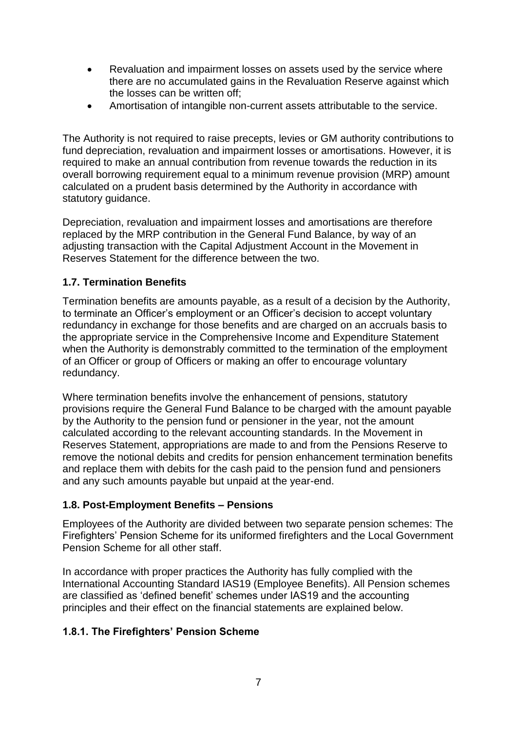- Revaluation and impairment losses on assets used by the service where there are no accumulated gains in the Revaluation Reserve against which the losses can be written off;
- Amortisation of intangible non-current assets attributable to the service.

The Authority is not required to raise precepts, levies or GM authority contributions to fund depreciation, revaluation and impairment losses or amortisations. However, it is required to make an annual contribution from revenue towards the reduction in its overall borrowing requirement equal to a minimum revenue provision (MRP) amount calculated on a prudent basis determined by the Authority in accordance with statutory guidance.

Depreciation, revaluation and impairment losses and amortisations are therefore replaced by the MRP contribution in the General Fund Balance, by way of an adjusting transaction with the Capital Adjustment Account in the Movement in Reserves Statement for the difference between the two.

# **1.7. Termination Benefits**

Termination benefits are amounts payable, as a result of a decision by the Authority, to terminate an Officer's employment or an Officer's decision to accept voluntary redundancy in exchange for those benefits and are charged on an accruals basis to the appropriate service in the Comprehensive Income and Expenditure Statement when the Authority is demonstrably committed to the termination of the employment of an Officer or group of Officers or making an offer to encourage voluntary redundancy.

Where termination benefits involve the enhancement of pensions, statutory provisions require the General Fund Balance to be charged with the amount payable by the Authority to the pension fund or pensioner in the year, not the amount calculated according to the relevant accounting standards. In the Movement in Reserves Statement, appropriations are made to and from the Pensions Reserve to remove the notional debits and credits for pension enhancement termination benefits and replace them with debits for the cash paid to the pension fund and pensioners and any such amounts payable but unpaid at the year-end.

# **1.8. Post-Employment Benefits – Pensions**

Employees of the Authority are divided between two separate pension schemes: The Firefighters' Pension Scheme for its uniformed firefighters and the Local Government Pension Scheme for all other staff.

In accordance with proper practices the Authority has fully complied with the International Accounting Standard IAS19 (Employee Benefits). All Pension schemes are classified as 'defined benefit' schemes under IAS19 and the accounting principles and their effect on the financial statements are explained below.

# **1.8.1. The Firefighters' Pension Scheme**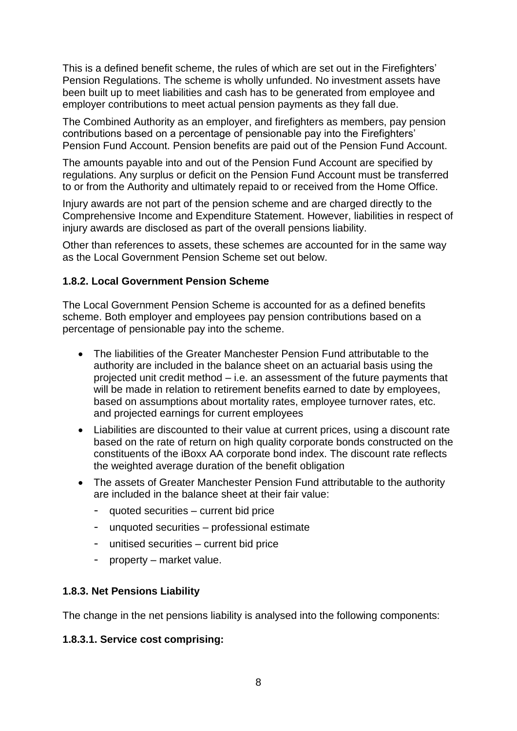This is a defined benefit scheme, the rules of which are set out in the Firefighters' Pension Regulations. The scheme is wholly unfunded. No investment assets have been built up to meet liabilities and cash has to be generated from employee and employer contributions to meet actual pension payments as they fall due.

The Combined Authority as an employer, and firefighters as members, pay pension contributions based on a percentage of pensionable pay into the Firefighters' Pension Fund Account. Pension benefits are paid out of the Pension Fund Account.

The amounts payable into and out of the Pension Fund Account are specified by regulations. Any surplus or deficit on the Pension Fund Account must be transferred to or from the Authority and ultimately repaid to or received from the Home Office.

Injury awards are not part of the pension scheme and are charged directly to the Comprehensive Income and Expenditure Statement. However, liabilities in respect of injury awards are disclosed as part of the overall pensions liability.

Other than references to assets, these schemes are accounted for in the same way as the Local Government Pension Scheme set out below.

#### **1.8.2. Local Government Pension Scheme**

The Local Government Pension Scheme is accounted for as a defined benefits scheme. Both employer and employees pay pension contributions based on a percentage of pensionable pay into the scheme.

- The liabilities of the Greater Manchester Pension Fund attributable to the authority are included in the balance sheet on an actuarial basis using the projected unit credit method – i.e. an assessment of the future payments that will be made in relation to retirement benefits earned to date by employees, based on assumptions about mortality rates, employee turnover rates, etc. and projected earnings for current employees
- Liabilities are discounted to their value at current prices, using a discount rate based on the rate of return on high quality corporate bonds constructed on the constituents of the iBoxx AA corporate bond index. The discount rate reflects the weighted average duration of the benefit obligation
- The assets of Greater Manchester Pension Fund attributable to the authority are included in the balance sheet at their fair value:
	- quoted securities current bid price
	- unquoted securities professional estimate
	- unitised securities current bid price
	- property market value.

#### **1.8.3. Net Pensions Liability**

The change in the net pensions liability is analysed into the following components:

#### **1.8.3.1. Service cost comprising:**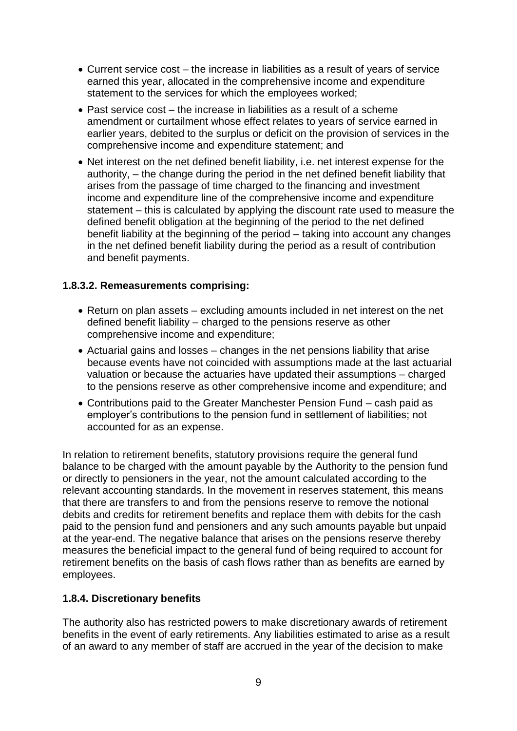- Current service cost the increase in liabilities as a result of years of service earned this year, allocated in the comprehensive income and expenditure statement to the services for which the employees worked;
- Past service cost the increase in liabilities as a result of a scheme amendment or curtailment whose effect relates to years of service earned in earlier years, debited to the surplus or deficit on the provision of services in the comprehensive income and expenditure statement; and
- Net interest on the net defined benefit liability, i.e. net interest expense for the authority, – the change during the period in the net defined benefit liability that arises from the passage of time charged to the financing and investment income and expenditure line of the comprehensive income and expenditure statement – this is calculated by applying the discount rate used to measure the defined benefit obligation at the beginning of the period to the net defined benefit liability at the beginning of the period – taking into account any changes in the net defined benefit liability during the period as a result of contribution and benefit payments.

#### **1.8.3.2. Remeasurements comprising:**

- Return on plan assets excluding amounts included in net interest on the net defined benefit liability – charged to the pensions reserve as other comprehensive income and expenditure;
- Actuarial gains and losses changes in the net pensions liability that arise because events have not coincided with assumptions made at the last actuarial valuation or because the actuaries have updated their assumptions – charged to the pensions reserve as other comprehensive income and expenditure; and
- Contributions paid to the Greater Manchester Pension Fund cash paid as employer's contributions to the pension fund in settlement of liabilities; not accounted for as an expense.

In relation to retirement benefits, statutory provisions require the general fund balance to be charged with the amount payable by the Authority to the pension fund or directly to pensioners in the year, not the amount calculated according to the relevant accounting standards. In the movement in reserves statement, this means that there are transfers to and from the pensions reserve to remove the notional debits and credits for retirement benefits and replace them with debits for the cash paid to the pension fund and pensioners and any such amounts payable but unpaid at the year-end. The negative balance that arises on the pensions reserve thereby measures the beneficial impact to the general fund of being required to account for retirement benefits on the basis of cash flows rather than as benefits are earned by employees.

#### **1.8.4. Discretionary benefits**

The authority also has restricted powers to make discretionary awards of retirement benefits in the event of early retirements. Any liabilities estimated to arise as a result of an award to any member of staff are accrued in the year of the decision to make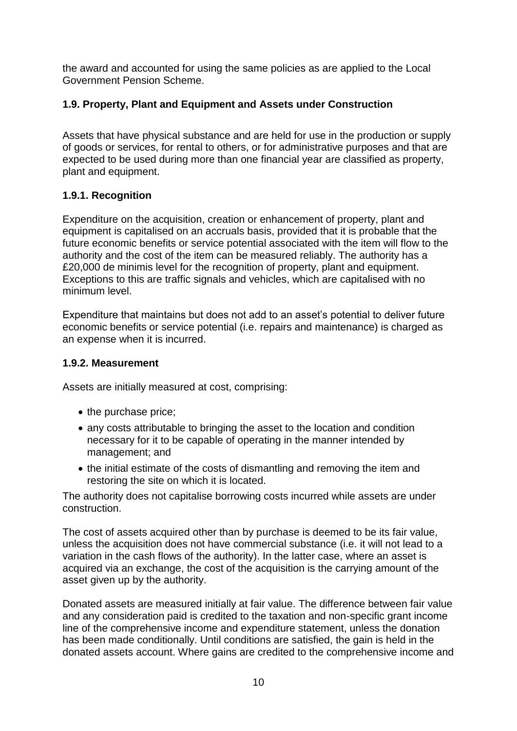the award and accounted for using the same policies as are applied to the Local Government Pension Scheme.

# **1.9. Property, Plant and Equipment and Assets under Construction**

Assets that have physical substance and are held for use in the production or supply of goods or services, for rental to others, or for administrative purposes and that are expected to be used during more than one financial year are classified as property, plant and equipment.

# **1.9.1. Recognition**

Expenditure on the acquisition, creation or enhancement of property, plant and equipment is capitalised on an accruals basis, provided that it is probable that the future economic benefits or service potential associated with the item will flow to the authority and the cost of the item can be measured reliably. The authority has a £20,000 de minimis level for the recognition of property, plant and equipment. Exceptions to this are traffic signals and vehicles, which are capitalised with no minimum level.

Expenditure that maintains but does not add to an asset's potential to deliver future economic benefits or service potential (i.e. repairs and maintenance) is charged as an expense when it is incurred.

#### **1.9.2. Measurement**

Assets are initially measured at cost, comprising:

- the purchase price;
- any costs attributable to bringing the asset to the location and condition necessary for it to be capable of operating in the manner intended by management; and
- the initial estimate of the costs of dismantling and removing the item and restoring the site on which it is located.

The authority does not capitalise borrowing costs incurred while assets are under construction.

The cost of assets acquired other than by purchase is deemed to be its fair value, unless the acquisition does not have commercial substance (i.e. it will not lead to a variation in the cash flows of the authority). In the latter case, where an asset is acquired via an exchange, the cost of the acquisition is the carrying amount of the asset given up by the authority.

Donated assets are measured initially at fair value. The difference between fair value and any consideration paid is credited to the taxation and non-specific grant income line of the comprehensive income and expenditure statement, unless the donation has been made conditionally. Until conditions are satisfied, the gain is held in the donated assets account. Where gains are credited to the comprehensive income and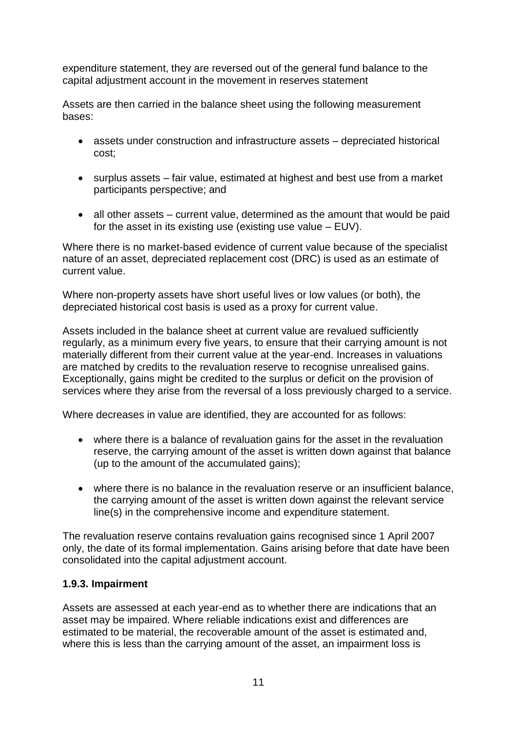expenditure statement, they are reversed out of the general fund balance to the capital adjustment account in the movement in reserves statement

Assets are then carried in the balance sheet using the following measurement bases:

- assets under construction and infrastructure assets depreciated historical cost;
- surplus assets fair value, estimated at highest and best use from a market participants perspective; and
- all other assets current value, determined as the amount that would be paid for the asset in its existing use (existing use value – EUV).

Where there is no market-based evidence of current value because of the specialist nature of an asset, depreciated replacement cost (DRC) is used as an estimate of current value.

Where non-property assets have short useful lives or low values (or both), the depreciated historical cost basis is used as a proxy for current value.

Assets included in the balance sheet at current value are revalued sufficiently regularly, as a minimum every five years, to ensure that their carrying amount is not materially different from their current value at the year-end. Increases in valuations are matched by credits to the revaluation reserve to recognise unrealised gains. Exceptionally, gains might be credited to the surplus or deficit on the provision of services where they arise from the reversal of a loss previously charged to a service.

Where decreases in value are identified, they are accounted for as follows:

- where there is a balance of revaluation gains for the asset in the revaluation reserve, the carrying amount of the asset is written down against that balance (up to the amount of the accumulated gains);
- where there is no balance in the revaluation reserve or an insufficient balance, the carrying amount of the asset is written down against the relevant service line(s) in the comprehensive income and expenditure statement.

The revaluation reserve contains revaluation gains recognised since 1 April 2007 only, the date of its formal implementation. Gains arising before that date have been consolidated into the capital adjustment account.

# **1.9.3. Impairment**

Assets are assessed at each year-end as to whether there are indications that an asset may be impaired. Where reliable indications exist and differences are estimated to be material, the recoverable amount of the asset is estimated and, where this is less than the carrying amount of the asset, an impairment loss is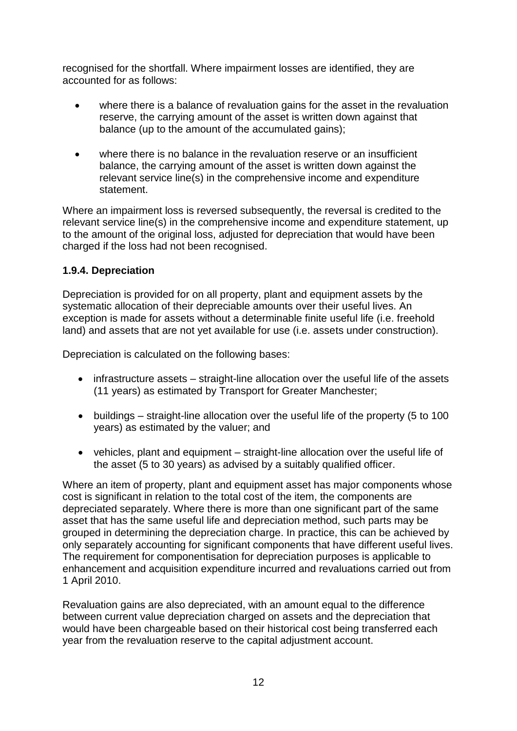recognised for the shortfall. Where impairment losses are identified, they are accounted for as follows:

- where there is a balance of revaluation gains for the asset in the revaluation reserve, the carrying amount of the asset is written down against that balance (up to the amount of the accumulated gains);
- where there is no balance in the revaluation reserve or an insufficient balance, the carrying amount of the asset is written down against the relevant service line(s) in the comprehensive income and expenditure statement.

Where an impairment loss is reversed subsequently, the reversal is credited to the relevant service line(s) in the comprehensive income and expenditure statement, up to the amount of the original loss, adjusted for depreciation that would have been charged if the loss had not been recognised.

# **1.9.4. Depreciation**

Depreciation is provided for on all property, plant and equipment assets by the systematic allocation of their depreciable amounts over their useful lives. An exception is made for assets without a determinable finite useful life (i.e. freehold land) and assets that are not yet available for use (i.e. assets under construction).

Depreciation is calculated on the following bases:

- infrastructure assets straight-line allocation over the useful life of the assets (11 years) as estimated by Transport for Greater Manchester;
- buildings straight-line allocation over the useful life of the property (5 to 100 years) as estimated by the valuer; and
- vehicles, plant and equipment straight-line allocation over the useful life of the asset (5 to 30 years) as advised by a suitably qualified officer.

Where an item of property, plant and equipment asset has major components whose cost is significant in relation to the total cost of the item, the components are depreciated separately. Where there is more than one significant part of the same asset that has the same useful life and depreciation method, such parts may be grouped in determining the depreciation charge. In practice, this can be achieved by only separately accounting for significant components that have different useful lives. The requirement for componentisation for depreciation purposes is applicable to enhancement and acquisition expenditure incurred and revaluations carried out from 1 April 2010.

Revaluation gains are also depreciated, with an amount equal to the difference between current value depreciation charged on assets and the depreciation that would have been chargeable based on their historical cost being transferred each year from the revaluation reserve to the capital adjustment account.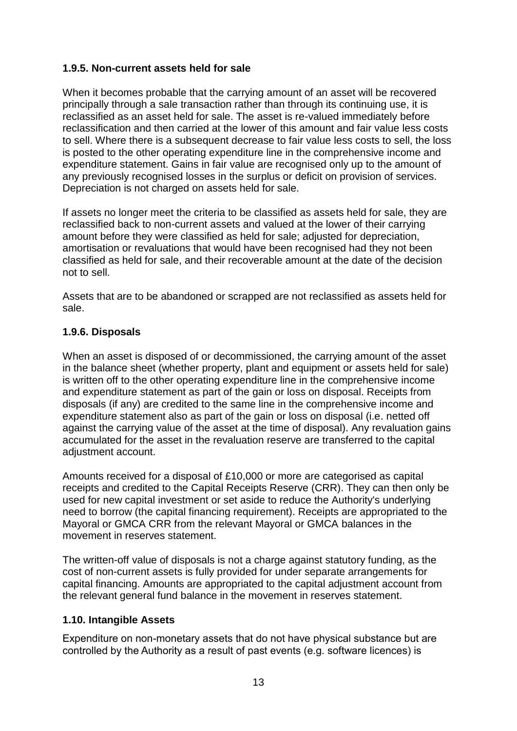# **1.9.5. Non-current assets held for sale**

When it becomes probable that the carrying amount of an asset will be recovered principally through a sale transaction rather than through its continuing use, it is reclassified as an asset held for sale. The asset is re-valued immediately before reclassification and then carried at the lower of this amount and fair value less costs to sell. Where there is a subsequent decrease to fair value less costs to sell, the loss is posted to the other operating expenditure line in the comprehensive income and expenditure statement. Gains in fair value are recognised only up to the amount of any previously recognised losses in the surplus or deficit on provision of services. Depreciation is not charged on assets held for sale.

If assets no longer meet the criteria to be classified as assets held for sale, they are reclassified back to non-current assets and valued at the lower of their carrying amount before they were classified as held for sale; adjusted for depreciation, amortisation or revaluations that would have been recognised had they not been classified as held for sale, and their recoverable amount at the date of the decision not to sell.

Assets that are to be abandoned or scrapped are not reclassified as assets held for sale.

# **1.9.6. Disposals**

When an asset is disposed of or decommissioned, the carrying amount of the asset in the balance sheet (whether property, plant and equipment or assets held for sale) is written off to the other operating expenditure line in the comprehensive income and expenditure statement as part of the gain or loss on disposal. Receipts from disposals (if any) are credited to the same line in the comprehensive income and expenditure statement also as part of the gain or loss on disposal (i.e. netted off against the carrying value of the asset at the time of disposal). Any revaluation gains accumulated for the asset in the revaluation reserve are transferred to the capital adjustment account.

Amounts received for a disposal of £10,000 or more are categorised as capital receipts and credited to the Capital Receipts Reserve (CRR). They can then only be used for new capital investment or set aside to reduce the Authority's underlying need to borrow (the capital financing requirement). Receipts are appropriated to the Mayoral or GMCA CRR from the relevant Mayoral or GMCA balances in the movement in reserves statement.

The written-off value of disposals is not a charge against statutory funding, as the cost of non-current assets is fully provided for under separate arrangements for capital financing. Amounts are appropriated to the capital adjustment account from the relevant general fund balance in the movement in reserves statement.

# **1.10. Intangible Assets**

Expenditure on non-monetary assets that do not have physical substance but are controlled by the Authority as a result of past events (e.g. software licences) is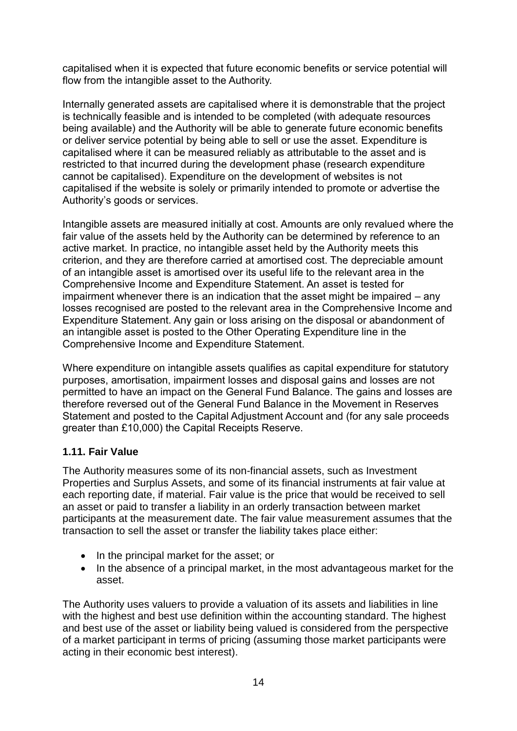capitalised when it is expected that future economic benefits or service potential will flow from the intangible asset to the Authority.

Internally generated assets are capitalised where it is demonstrable that the project is technically feasible and is intended to be completed (with adequate resources being available) and the Authority will be able to generate future economic benefits or deliver service potential by being able to sell or use the asset. Expenditure is capitalised where it can be measured reliably as attributable to the asset and is restricted to that incurred during the development phase (research expenditure cannot be capitalised). Expenditure on the development of websites is not capitalised if the website is solely or primarily intended to promote or advertise the Authority's goods or services.

Intangible assets are measured initially at cost. Amounts are only revalued where the fair value of the assets held by the Authority can be determined by reference to an active market. In practice, no intangible asset held by the Authority meets this criterion, and they are therefore carried at amortised cost. The depreciable amount of an intangible asset is amortised over its useful life to the relevant area in the Comprehensive Income and Expenditure Statement. An asset is tested for impairment whenever there is an indication that the asset might be impaired – any losses recognised are posted to the relevant area in the Comprehensive Income and Expenditure Statement. Any gain or loss arising on the disposal or abandonment of an intangible asset is posted to the Other Operating Expenditure line in the Comprehensive Income and Expenditure Statement.

Where expenditure on intangible assets qualifies as capital expenditure for statutory purposes, amortisation, impairment losses and disposal gains and losses are not permitted to have an impact on the General Fund Balance. The gains and losses are therefore reversed out of the General Fund Balance in the Movement in Reserves Statement and posted to the Capital Adjustment Account and (for any sale proceeds greater than £10,000) the Capital Receipts Reserve.

# **1.11. Fair Value**

The Authority measures some of its non-financial assets, such as Investment Properties and Surplus Assets, and some of its financial instruments at fair value at each reporting date, if material. Fair value is the price that would be received to sell an asset or paid to transfer a liability in an orderly transaction between market participants at the measurement date. The fair value measurement assumes that the transaction to sell the asset or transfer the liability takes place either:

- In the principal market for the asset; or
- In the absence of a principal market, in the most advantageous market for the asset.

The Authority uses valuers to provide a valuation of its assets and liabilities in line with the highest and best use definition within the accounting standard. The highest and best use of the asset or liability being valued is considered from the perspective of a market participant in terms of pricing (assuming those market participants were acting in their economic best interest).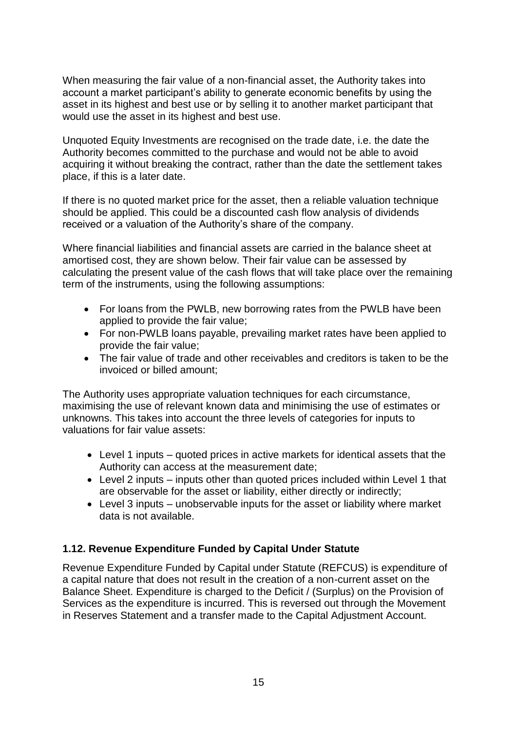When measuring the fair value of a non-financial asset, the Authority takes into account a market participant's ability to generate economic benefits by using the asset in its highest and best use or by selling it to another market participant that would use the asset in its highest and best use.

Unquoted Equity Investments are recognised on the trade date, i.e. the date the Authority becomes committed to the purchase and would not be able to avoid acquiring it without breaking the contract, rather than the date the settlement takes place, if this is a later date.

If there is no quoted market price for the asset, then a reliable valuation technique should be applied. This could be a discounted cash flow analysis of dividends received or a valuation of the Authority's share of the company.

Where financial liabilities and financial assets are carried in the balance sheet at amortised cost, they are shown below. Their fair value can be assessed by calculating the present value of the cash flows that will take place over the remaining term of the instruments, using the following assumptions:

- For loans from the PWLB, new borrowing rates from the PWLB have been applied to provide the fair value;
- For non-PWLB loans payable, prevailing market rates have been applied to provide the fair value;
- The fair value of trade and other receivables and creditors is taken to be the invoiced or billed amount;

The Authority uses appropriate valuation techniques for each circumstance, maximising the use of relevant known data and minimising the use of estimates or unknowns. This takes into account the three levels of categories for inputs to valuations for fair value assets:

- Level 1 inputs quoted prices in active markets for identical assets that the Authority can access at the measurement date;
- Level 2 inputs inputs other than quoted prices included within Level 1 that are observable for the asset or liability, either directly or indirectly;
- Level 3 inputs unobservable inputs for the asset or liability where market data is not available.

# **1.12. Revenue Expenditure Funded by Capital Under Statute**

Revenue Expenditure Funded by Capital under Statute (REFCUS) is expenditure of a capital nature that does not result in the creation of a non-current asset on the Balance Sheet. Expenditure is charged to the Deficit / (Surplus) on the Provision of Services as the expenditure is incurred. This is reversed out through the Movement in Reserves Statement and a transfer made to the Capital Adjustment Account.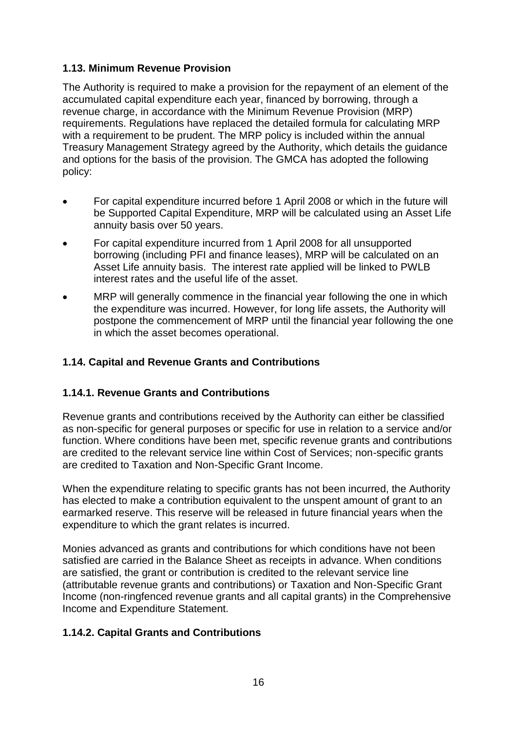# **1.13. Minimum Revenue Provision**

The Authority is required to make a provision for the repayment of an element of the accumulated capital expenditure each year, financed by borrowing, through a revenue charge, in accordance with the Minimum Revenue Provision (MRP) requirements. Regulations have replaced the detailed formula for calculating MRP with a requirement to be prudent. The MRP policy is included within the annual Treasury Management Strategy agreed by the Authority, which details the guidance and options for the basis of the provision. The GMCA has adopted the following policy:

- For capital expenditure incurred before 1 April 2008 or which in the future will be Supported Capital Expenditure, MRP will be calculated using an Asset Life annuity basis over 50 years.
- For capital expenditure incurred from 1 April 2008 for all unsupported borrowing (including PFI and finance leases), MRP will be calculated on an Asset Life annuity basis. The interest rate applied will be linked to PWLB interest rates and the useful life of the asset.
- MRP will generally commence in the financial year following the one in which the expenditure was incurred. However, for long life assets, the Authority will postpone the commencement of MRP until the financial year following the one in which the asset becomes operational.

# **1.14. Capital and Revenue Grants and Contributions**

# **1.14.1. Revenue Grants and Contributions**

Revenue grants and contributions received by the Authority can either be classified as non-specific for general purposes or specific for use in relation to a service and/or function. Where conditions have been met, specific revenue grants and contributions are credited to the relevant service line within Cost of Services; non-specific grants are credited to Taxation and Non-Specific Grant Income.

When the expenditure relating to specific grants has not been incurred, the Authority has elected to make a contribution equivalent to the unspent amount of grant to an earmarked reserve. This reserve will be released in future financial years when the expenditure to which the grant relates is incurred.

Monies advanced as grants and contributions for which conditions have not been satisfied are carried in the Balance Sheet as receipts in advance. When conditions are satisfied, the grant or contribution is credited to the relevant service line (attributable revenue grants and contributions) or Taxation and Non-Specific Grant Income (non-ringfenced revenue grants and all capital grants) in the Comprehensive Income and Expenditure Statement.

# **1.14.2. Capital Grants and Contributions**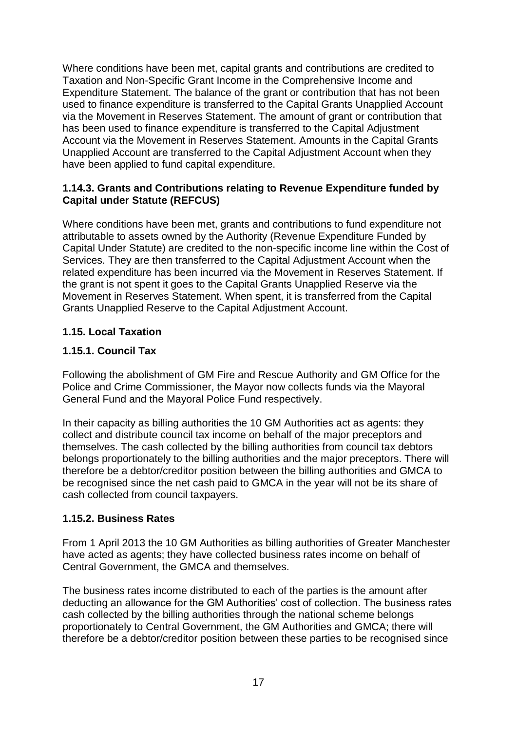Where conditions have been met, capital grants and contributions are credited to Taxation and Non-Specific Grant Income in the Comprehensive Income and Expenditure Statement. The balance of the grant or contribution that has not been used to finance expenditure is transferred to the Capital Grants Unapplied Account via the Movement in Reserves Statement. The amount of grant or contribution that has been used to finance expenditure is transferred to the Capital Adjustment Account via the Movement in Reserves Statement. Amounts in the Capital Grants Unapplied Account are transferred to the Capital Adjustment Account when they have been applied to fund capital expenditure.

#### **1.14.3. Grants and Contributions relating to Revenue Expenditure funded by Capital under Statute (REFCUS)**

Where conditions have been met, grants and contributions to fund expenditure not attributable to assets owned by the Authority (Revenue Expenditure Funded by Capital Under Statute) are credited to the non-specific income line within the Cost of Services. They are then transferred to the Capital Adjustment Account when the related expenditure has been incurred via the Movement in Reserves Statement. If the grant is not spent it goes to the Capital Grants Unapplied Reserve via the Movement in Reserves Statement. When spent, it is transferred from the Capital Grants Unapplied Reserve to the Capital Adjustment Account.

# **1.15. Local Taxation**

# **1.15.1. Council Tax**

Following the abolishment of GM Fire and Rescue Authority and GM Office for the Police and Crime Commissioner, the Mayor now collects funds via the Mayoral General Fund and the Mayoral Police Fund respectively.

In their capacity as billing authorities the 10 GM Authorities act as agents: they collect and distribute council tax income on behalf of the major preceptors and themselves. The cash collected by the billing authorities from council tax debtors belongs proportionately to the billing authorities and the major preceptors. There will therefore be a debtor/creditor position between the billing authorities and GMCA to be recognised since the net cash paid to GMCA in the year will not be its share of cash collected from council taxpayers.

# **1.15.2. Business Rates**

From 1 April 2013 the 10 GM Authorities as billing authorities of Greater Manchester have acted as agents; they have collected business rates income on behalf of Central Government, the GMCA and themselves.

The business rates income distributed to each of the parties is the amount after deducting an allowance for the GM Authorities' cost of collection. The business rates cash collected by the billing authorities through the national scheme belongs proportionately to Central Government, the GM Authorities and GMCA; there will therefore be a debtor/creditor position between these parties to be recognised since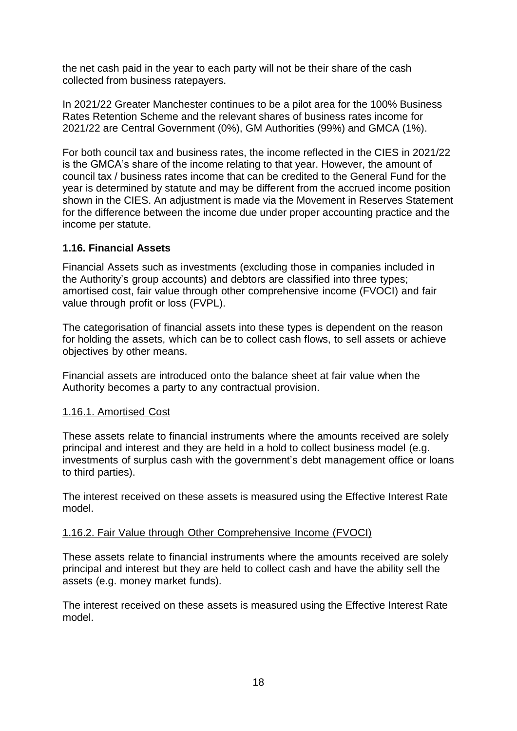the net cash paid in the year to each party will not be their share of the cash collected from business ratepayers.

In 2021/22 Greater Manchester continues to be a pilot area for the 100% Business Rates Retention Scheme and the relevant shares of business rates income for 2021/22 are Central Government (0%), GM Authorities (99%) and GMCA (1%).

For both council tax and business rates, the income reflected in the CIES in 2021/22 is the GMCA's share of the income relating to that year. However, the amount of council tax / business rates income that can be credited to the General Fund for the year is determined by statute and may be different from the accrued income position shown in the CIES. An adjustment is made via the Movement in Reserves Statement for the difference between the income due under proper accounting practice and the income per statute.

#### **1.16. Financial Assets**

Financial Assets such as investments (excluding those in companies included in the Authority's group accounts) and debtors are classified into three types; amortised cost, fair value through other comprehensive income (FVOCI) and fair value through profit or loss (FVPL).

The categorisation of financial assets into these types is dependent on the reason for holding the assets, which can be to collect cash flows, to sell assets or achieve objectives by other means.

Financial assets are introduced onto the balance sheet at fair value when the Authority becomes a party to any contractual provision.

#### 1.16.1. Amortised Cost

These assets relate to financial instruments where the amounts received are solely principal and interest and they are held in a hold to collect business model (e.g. investments of surplus cash with the government's debt management office or loans to third parties).

The interest received on these assets is measured using the Effective Interest Rate model.

#### 1.16.2. Fair Value through Other Comprehensive Income (FVOCI)

These assets relate to financial instruments where the amounts received are solely principal and interest but they are held to collect cash and have the ability sell the assets (e.g. money market funds).

The interest received on these assets is measured using the Effective Interest Rate model.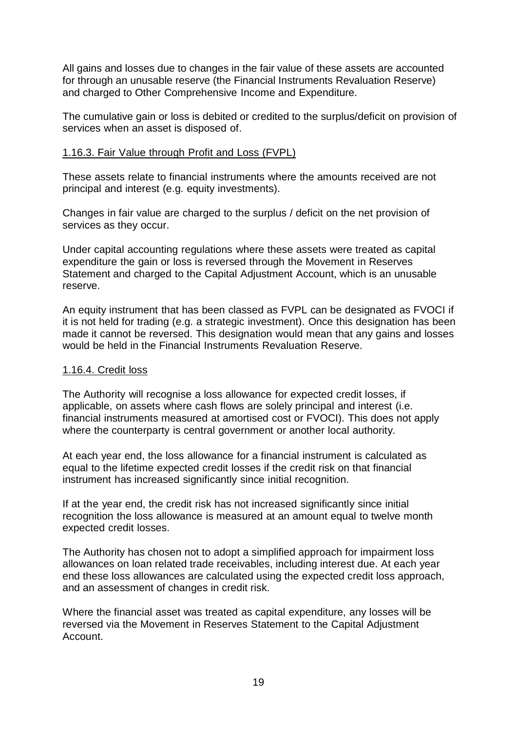All gains and losses due to changes in the fair value of these assets are accounted for through an unusable reserve (the Financial Instruments Revaluation Reserve) and charged to Other Comprehensive Income and Expenditure.

The cumulative gain or loss is debited or credited to the surplus/deficit on provision of services when an asset is disposed of.

#### 1.16.3. Fair Value through Profit and Loss (FVPL)

These assets relate to financial instruments where the amounts received are not principal and interest (e.g. equity investments).

Changes in fair value are charged to the surplus / deficit on the net provision of services as they occur.

Under capital accounting regulations where these assets were treated as capital expenditure the gain or loss is reversed through the Movement in Reserves Statement and charged to the Capital Adjustment Account, which is an unusable reserve.

An equity instrument that has been classed as FVPL can be designated as FVOCI if it is not held for trading (e.g. a strategic investment). Once this designation has been made it cannot be reversed. This designation would mean that any gains and losses would be held in the Financial Instruments Revaluation Reserve.

#### 1.16.4. Credit loss

The Authority will recognise a loss allowance for expected credit losses, if applicable, on assets where cash flows are solely principal and interest (i.e. financial instruments measured at amortised cost or FVOCI). This does not apply where the counterparty is central government or another local authority.

At each year end, the loss allowance for a financial instrument is calculated as equal to the lifetime expected credit losses if the credit risk on that financial instrument has increased significantly since initial recognition.

If at the year end, the credit risk has not increased significantly since initial recognition the loss allowance is measured at an amount equal to twelve month expected credit losses.

The Authority has chosen not to adopt a simplified approach for impairment loss allowances on loan related trade receivables, including interest due. At each year end these loss allowances are calculated using the expected credit loss approach, and an assessment of changes in credit risk.

Where the financial asset was treated as capital expenditure, any losses will be reversed via the Movement in Reserves Statement to the Capital Adjustment Account.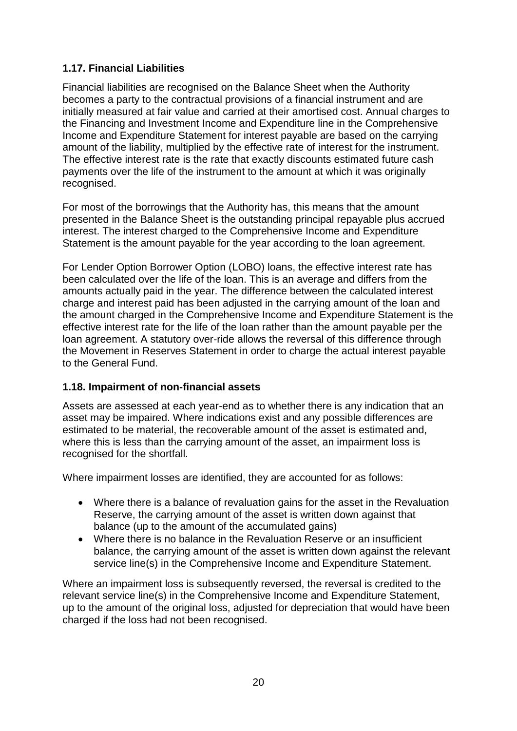# **1.17. Financial Liabilities**

Financial liabilities are recognised on the Balance Sheet when the Authority becomes a party to the contractual provisions of a financial instrument and are initially measured at fair value and carried at their amortised cost. Annual charges to the Financing and Investment Income and Expenditure line in the Comprehensive Income and Expenditure Statement for interest payable are based on the carrying amount of the liability, multiplied by the effective rate of interest for the instrument. The effective interest rate is the rate that exactly discounts estimated future cash payments over the life of the instrument to the amount at which it was originally recognised.

For most of the borrowings that the Authority has, this means that the amount presented in the Balance Sheet is the outstanding principal repayable plus accrued interest. The interest charged to the Comprehensive Income and Expenditure Statement is the amount payable for the year according to the loan agreement.

For Lender Option Borrower Option (LOBO) loans, the effective interest rate has been calculated over the life of the loan. This is an average and differs from the amounts actually paid in the year. The difference between the calculated interest charge and interest paid has been adjusted in the carrying amount of the loan and the amount charged in the Comprehensive Income and Expenditure Statement is the effective interest rate for the life of the loan rather than the amount payable per the loan agreement. A statutory over-ride allows the reversal of this difference through the Movement in Reserves Statement in order to charge the actual interest payable to the General Fund.

# **1.18. Impairment of non-financial assets**

Assets are assessed at each year-end as to whether there is any indication that an asset may be impaired. Where indications exist and any possible differences are estimated to be material, the recoverable amount of the asset is estimated and, where this is less than the carrying amount of the asset, an impairment loss is recognised for the shortfall.

Where impairment losses are identified, they are accounted for as follows:

- Where there is a balance of revaluation gains for the asset in the Revaluation Reserve, the carrying amount of the asset is written down against that balance (up to the amount of the accumulated gains)
- Where there is no balance in the Revaluation Reserve or an insufficient balance, the carrying amount of the asset is written down against the relevant service line(s) in the Comprehensive Income and Expenditure Statement.

Where an impairment loss is subsequently reversed, the reversal is credited to the relevant service line(s) in the Comprehensive Income and Expenditure Statement, up to the amount of the original loss, adjusted for depreciation that would have been charged if the loss had not been recognised.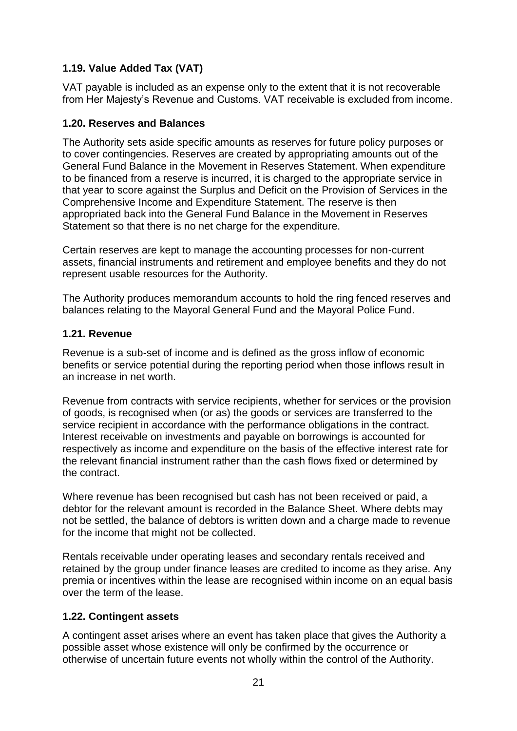# **1.19. Value Added Tax (VAT)**

VAT payable is included as an expense only to the extent that it is not recoverable from Her Majesty's Revenue and Customs. VAT receivable is excluded from income.

#### **1.20. Reserves and Balances**

The Authority sets aside specific amounts as reserves for future policy purposes or to cover contingencies. Reserves are created by appropriating amounts out of the General Fund Balance in the Movement in Reserves Statement. When expenditure to be financed from a reserve is incurred, it is charged to the appropriate service in that year to score against the Surplus and Deficit on the Provision of Services in the Comprehensive Income and Expenditure Statement. The reserve is then appropriated back into the General Fund Balance in the Movement in Reserves Statement so that there is no net charge for the expenditure.

Certain reserves are kept to manage the accounting processes for non-current assets, financial instruments and retirement and employee benefits and they do not represent usable resources for the Authority.

The Authority produces memorandum accounts to hold the ring fenced reserves and balances relating to the Mayoral General Fund and the Mayoral Police Fund.

#### **1.21. Revenue**

Revenue is a sub-set of income and is defined as the gross inflow of economic benefits or service potential during the reporting period when those inflows result in an increase in net worth.

Revenue from contracts with service recipients, whether for services or the provision of goods, is recognised when (or as) the goods or services are transferred to the service recipient in accordance with the performance obligations in the contract. Interest receivable on investments and payable on borrowings is accounted for respectively as income and expenditure on the basis of the effective interest rate for the relevant financial instrument rather than the cash flows fixed or determined by the contract.

Where revenue has been recognised but cash has not been received or paid, a debtor for the relevant amount is recorded in the Balance Sheet. Where debts may not be settled, the balance of debtors is written down and a charge made to revenue for the income that might not be collected.

Rentals receivable under operating leases and secondary rentals received and retained by the group under finance leases are credited to income as they arise. Any premia or incentives within the lease are recognised within income on an equal basis over the term of the lease.

# **1.22. Contingent assets**

A contingent asset arises where an event has taken place that gives the Authority a possible asset whose existence will only be confirmed by the occurrence or otherwise of uncertain future events not wholly within the control of the Authority.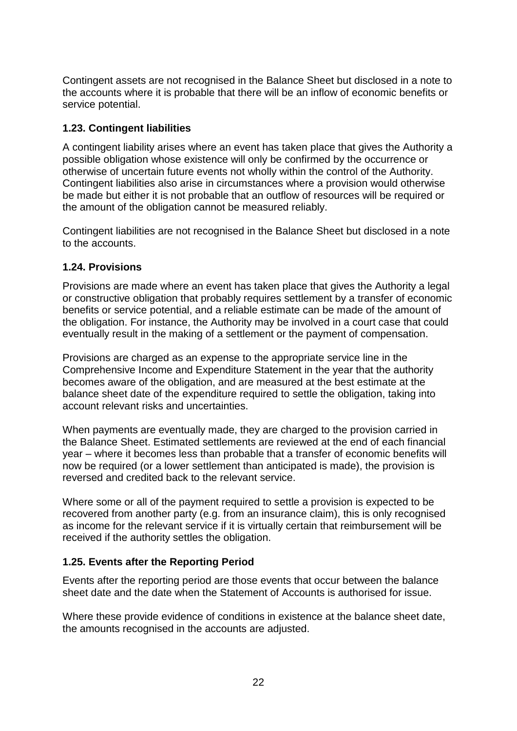Contingent assets are not recognised in the Balance Sheet but disclosed in a note to the accounts where it is probable that there will be an inflow of economic benefits or service potential.

# **1.23. Contingent liabilities**

A contingent liability arises where an event has taken place that gives the Authority a possible obligation whose existence will only be confirmed by the occurrence or otherwise of uncertain future events not wholly within the control of the Authority. Contingent liabilities also arise in circumstances where a provision would otherwise be made but either it is not probable that an outflow of resources will be required or the amount of the obligation cannot be measured reliably.

Contingent liabilities are not recognised in the Balance Sheet but disclosed in a note to the accounts.

# **1.24. Provisions**

Provisions are made where an event has taken place that gives the Authority a legal or constructive obligation that probably requires settlement by a transfer of economic benefits or service potential, and a reliable estimate can be made of the amount of the obligation. For instance, the Authority may be involved in a court case that could eventually result in the making of a settlement or the payment of compensation.

Provisions are charged as an expense to the appropriate service line in the Comprehensive Income and Expenditure Statement in the year that the authority becomes aware of the obligation, and are measured at the best estimate at the balance sheet date of the expenditure required to settle the obligation, taking into account relevant risks and uncertainties.

When payments are eventually made, they are charged to the provision carried in the Balance Sheet. Estimated settlements are reviewed at the end of each financial year – where it becomes less than probable that a transfer of economic benefits will now be required (or a lower settlement than anticipated is made), the provision is reversed and credited back to the relevant service.

Where some or all of the payment required to settle a provision is expected to be recovered from another party (e.g. from an insurance claim), this is only recognised as income for the relevant service if it is virtually certain that reimbursement will be received if the authority settles the obligation.

# **1.25. Events after the Reporting Period**

Events after the reporting period are those events that occur between the balance sheet date and the date when the Statement of Accounts is authorised for issue.

Where these provide evidence of conditions in existence at the balance sheet date, the amounts recognised in the accounts are adjusted.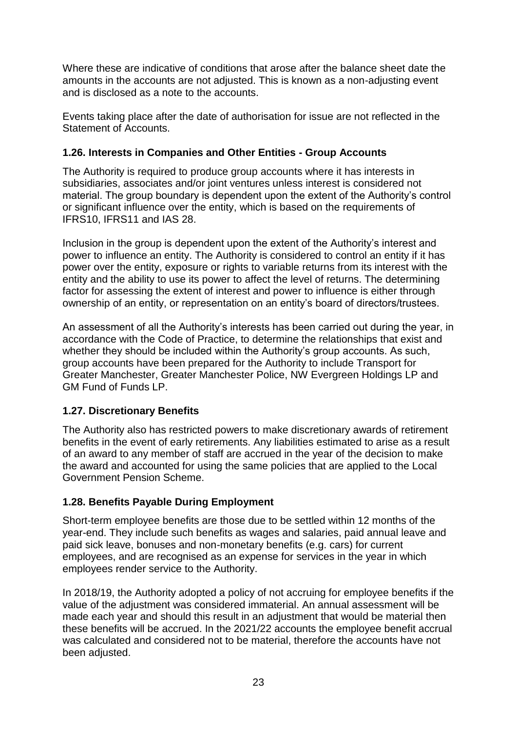Where these are indicative of conditions that arose after the balance sheet date the amounts in the accounts are not adjusted. This is known as a non-adjusting event and is disclosed as a note to the accounts.

Events taking place after the date of authorisation for issue are not reflected in the Statement of Accounts.

# **1.26. Interests in Companies and Other Entities - Group Accounts**

The Authority is required to produce group accounts where it has interests in subsidiaries, associates and/or joint ventures unless interest is considered not material. The group boundary is dependent upon the extent of the Authority's control or significant influence over the entity, which is based on the requirements of IFRS10, IFRS11 and IAS 28.

Inclusion in the group is dependent upon the extent of the Authority's interest and power to influence an entity. The Authority is considered to control an entity if it has power over the entity, exposure or rights to variable returns from its interest with the entity and the ability to use its power to affect the level of returns. The determining factor for assessing the extent of interest and power to influence is either through ownership of an entity, or representation on an entity's board of directors/trustees.

An assessment of all the Authority's interests has been carried out during the year, in accordance with the Code of Practice, to determine the relationships that exist and whether they should be included within the Authority's group accounts. As such, group accounts have been prepared for the Authority to include Transport for Greater Manchester, Greater Manchester Police, NW Evergreen Holdings LP and GM Fund of Funds LP.

# **1.27. Discretionary Benefits**

The Authority also has restricted powers to make discretionary awards of retirement benefits in the event of early retirements. Any liabilities estimated to arise as a result of an award to any member of staff are accrued in the year of the decision to make the award and accounted for using the same policies that are applied to the Local Government Pension Scheme.

# **1.28. Benefits Payable During Employment**

Short-term employee benefits are those due to be settled within 12 months of the year-end. They include such benefits as wages and salaries, paid annual leave and paid sick leave, bonuses and non-monetary benefits (e.g. cars) for current employees, and are recognised as an expense for services in the year in which employees render service to the Authority.

In 2018/19, the Authority adopted a policy of not accruing for employee benefits if the value of the adjustment was considered immaterial. An annual assessment will be made each year and should this result in an adjustment that would be material then these benefits will be accrued. In the 2021/22 accounts the employee benefit accrual was calculated and considered not to be material, therefore the accounts have not been adjusted.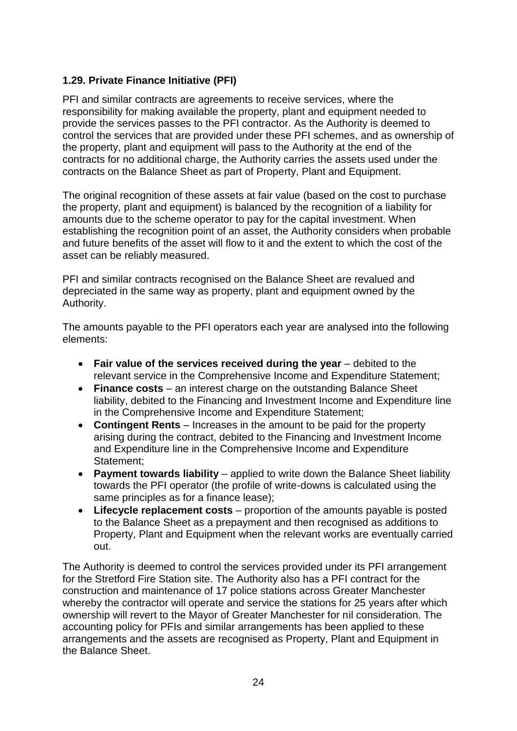# **1.29. Private Finance Initiative (PFI)**

PFI and similar contracts are agreements to receive services, where the responsibility for making available the property, plant and equipment needed to provide the services passes to the PFI contractor. As the Authority is deemed to control the services that are provided under these PFI schemes, and as ownership of the property, plant and equipment will pass to the Authority at the end of the contracts for no additional charge, the Authority carries the assets used under the contracts on the Balance Sheet as part of Property, Plant and Equipment.

The original recognition of these assets at fair value (based on the cost to purchase the property, plant and equipment) is balanced by the recognition of a liability for amounts due to the scheme operator to pay for the capital investment. When establishing the recognition point of an asset, the Authority considers when probable and future benefits of the asset will flow to it and the extent to which the cost of the asset can be reliably measured.

PFI and similar contracts recognised on the Balance Sheet are revalued and depreciated in the same way as property, plant and equipment owned by the Authority.

The amounts payable to the PFI operators each year are analysed into the following elements:

- **Fair value of the services received during the year** debited to the relevant service in the Comprehensive Income and Expenditure Statement;
- **Finance costs** an interest charge on the outstanding Balance Sheet liability, debited to the Financing and Investment Income and Expenditure line in the Comprehensive Income and Expenditure Statement;
- **Contingent Rents** Increases in the amount to be paid for the property arising during the contract, debited to the Financing and Investment Income and Expenditure line in the Comprehensive Income and Expenditure Statement;
- **Payment towards liability** applied to write down the Balance Sheet liability towards the PFI operator (the profile of write-downs is calculated using the same principles as for a finance lease);
- **Lifecycle replacement costs** proportion of the amounts payable is posted to the Balance Sheet as a prepayment and then recognised as additions to Property, Plant and Equipment when the relevant works are eventually carried out.

The Authority is deemed to control the services provided under its PFI arrangement for the Stretford Fire Station site. The Authority also has a PFI contract for the construction and maintenance of 17 police stations across Greater Manchester whereby the contractor will operate and service the stations for 25 years after which ownership will revert to the Mayor of Greater Manchester for nil consideration. The accounting policy for PFIs and similar arrangements has been applied to these arrangements and the assets are recognised as Property, Plant and Equipment in the Balance Sheet.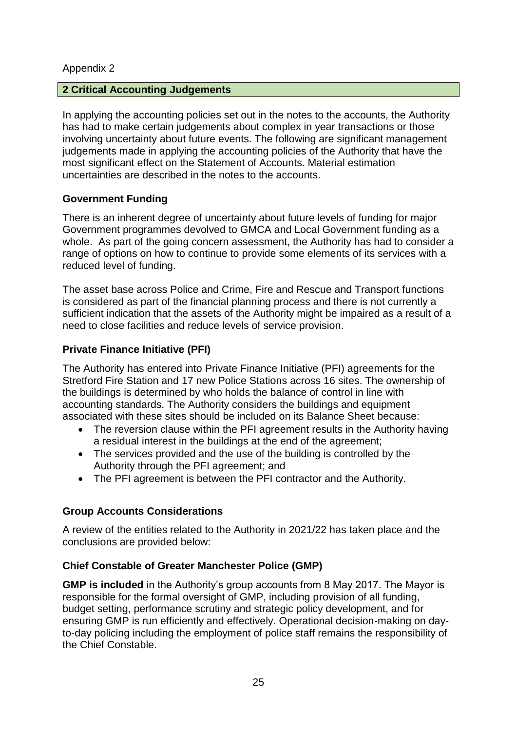#### Appendix 2

#### **2 Critical Accounting Judgements**

In applying the accounting policies set out in the notes to the accounts, the Authority has had to make certain judgements about complex in year transactions or those involving uncertainty about future events. The following are significant management judgements made in applying the accounting policies of the Authority that have the most significant effect on the Statement of Accounts. Material estimation uncertainties are described in the notes to the accounts.

#### **Government Funding**

There is an inherent degree of uncertainty about future levels of funding for major Government programmes devolved to GMCA and Local Government funding as a whole. As part of the going concern assessment, the Authority has had to consider a range of options on how to continue to provide some elements of its services with a reduced level of funding.

The asset base across Police and Crime, Fire and Rescue and Transport functions is considered as part of the financial planning process and there is not currently a sufficient indication that the assets of the Authority might be impaired as a result of a need to close facilities and reduce levels of service provision.

#### **Private Finance Initiative (PFI)**

The Authority has entered into Private Finance Initiative (PFI) agreements for the Stretford Fire Station and 17 new Police Stations across 16 sites. The ownership of the buildings is determined by who holds the balance of control in line with accounting standards. The Authority considers the buildings and equipment associated with these sites should be included on its Balance Sheet because:

- The reversion clause within the PFI agreement results in the Authority having a residual interest in the buildings at the end of the agreement;
- The services provided and the use of the building is controlled by the Authority through the PFI agreement; and
- The PFI agreement is between the PFI contractor and the Authority.

# **Group Accounts Considerations**

A review of the entities related to the Authority in 2021/22 has taken place and the conclusions are provided below:

# **Chief Constable of Greater Manchester Police (GMP)**

**GMP is included** in the Authority's group accounts from 8 May 2017. The Mayor is responsible for the formal oversight of GMP, including provision of all funding, budget setting, performance scrutiny and strategic policy development, and for ensuring GMP is run efficiently and effectively. Operational decision-making on dayto-day policing including the employment of police staff remains the responsibility of the Chief Constable.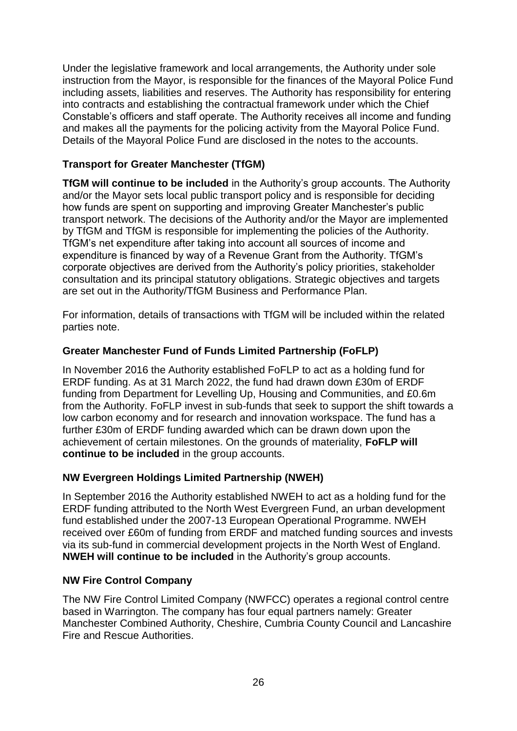Under the legislative framework and local arrangements, the Authority under sole instruction from the Mayor, is responsible for the finances of the Mayoral Police Fund including assets, liabilities and reserves. The Authority has responsibility for entering into contracts and establishing the contractual framework under which the Chief Constable's officers and staff operate. The Authority receives all income and funding and makes all the payments for the policing activity from the Mayoral Police Fund. Details of the Mayoral Police Fund are disclosed in the notes to the accounts.

# **Transport for Greater Manchester (TfGM)**

**TfGM will continue to be included** in the Authority's group accounts. The Authority and/or the Mayor sets local public transport policy and is responsible for deciding how funds are spent on supporting and improving Greater Manchester's public transport network. The decisions of the Authority and/or the Mayor are implemented by TfGM and TfGM is responsible for implementing the policies of the Authority. TfGM's net expenditure after taking into account all sources of income and expenditure is financed by way of a Revenue Grant from the Authority. TfGM's corporate objectives are derived from the Authority's policy priorities, stakeholder consultation and its principal statutory obligations. Strategic objectives and targets are set out in the Authority/TfGM Business and Performance Plan.

For information, details of transactions with TfGM will be included within the related parties note.

# **Greater Manchester Fund of Funds Limited Partnership (FoFLP)**

In November 2016 the Authority established FoFLP to act as a holding fund for ERDF funding. As at 31 March 2022, the fund had drawn down £30m of ERDF funding from Department for Levelling Up, Housing and Communities, and £0.6m from the Authority. FoFLP invest in sub-funds that seek to support the shift towards a low carbon economy and for research and innovation workspace. The fund has a further £30m of ERDF funding awarded which can be drawn down upon the achievement of certain milestones. On the grounds of materiality, **FoFLP will continue to be included** in the group accounts.

# **NW Evergreen Holdings Limited Partnership (NWEH)**

In September 2016 the Authority established NWEH to act as a holding fund for the ERDF funding attributed to the North West Evergreen Fund, an urban development fund established under the 2007-13 European Operational Programme. NWEH received over £60m of funding from ERDF and matched funding sources and invests via its sub-fund in commercial development projects in the North West of England. **NWEH will continue to be included** in the Authority's group accounts.

# **NW Fire Control Company**

The NW Fire Control Limited Company (NWFCC) operates a regional control centre based in Warrington. The company has four equal partners namely: Greater Manchester Combined Authority, Cheshire, Cumbria County Council and Lancashire Fire and Rescue Authorities.